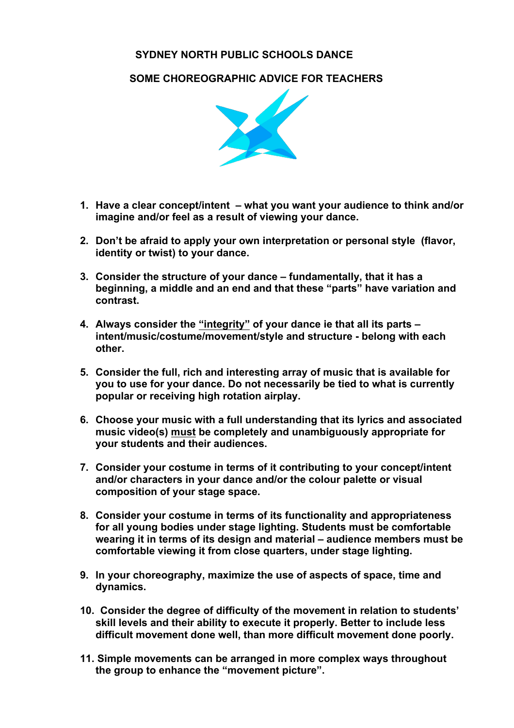## **SYDNEY NORTH PUBLIC SCHOOLS DANCE**

 **SOME CHOREOGRAPHIC ADVICE FOR TEACHERS**



- **1. Have a clear concept/intent – what you want your audience to think and/or imagine and/or feel as a result of viewing your dance.**
- **2. Don't be afraid to apply your own interpretation or personal style (flavor, identity or twist) to your dance.**
- **3. Consider the structure of your dance – fundamentally, that it has a beginning, a middle and an end and that these "parts" have variation and contrast.**
- **4. Always consider the "integrity" of your dance ie that all its parts – intent/music/costume/movement/style and structure - belong with each other.**
- **5. Consider the full, rich and interesting array of music that is available for you to use for your dance. Do not necessarily be tied to what is currently popular or receiving high rotation airplay.**
- **6. Choose your music with a full understanding that its lyrics and associated music video(s) must be completely and unambiguously appropriate for your students and their audiences.**
- **7. Consider your costume in terms of it contributing to your concept/intent and/or characters in your dance and/or the colour palette or visual composition of your stage space.**
- **8. Consider your costume in terms of its functionality and appropriateness for all young bodies under stage lighting. Students must be comfortable wearing it in terms of its design and material – audience members must be comfortable viewing it from close quarters, under stage lighting.**
- **9. In your choreography, maximize the use of aspects of space, time and dynamics.**
- **10. Consider the degree of difficulty of the movement in relation to students' skill levels and their ability to execute it properly. Better to include less difficult movement done well, than more difficult movement done poorly.**
- **11. Simple movements can be arranged in more complex ways throughout the group to enhance the "movement picture".**